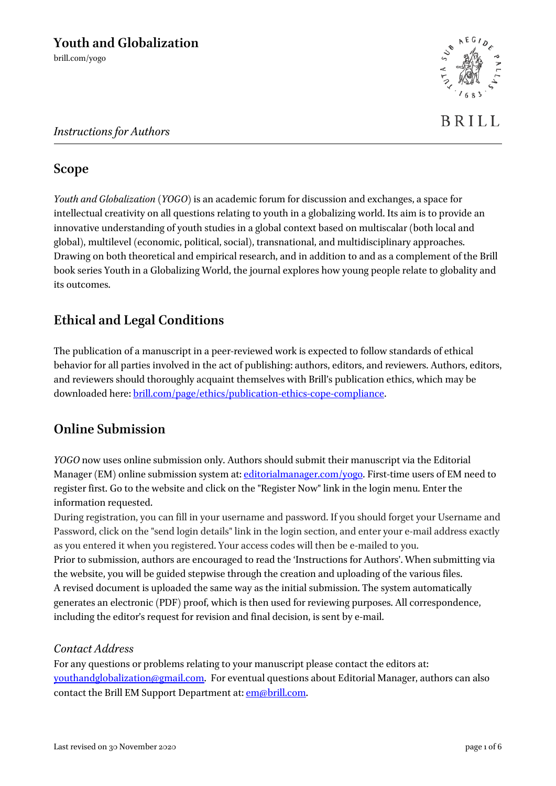

# **Scope**

*Youth and Globalization* (*YOGO*) is an academic forum for discussion and exchanges, a space for intellectual creativity on all questions relating to youth in a globalizing world. Its aim is to provide an innovative understanding of youth studies in a global context based on multiscalar (both local and global), multilevel (economic, political, social), transnational, and multidisciplinary approaches. Drawing on both theoretical and empirical research, and in addition to and as a complement of the Brill book series Youth in a Globalizing World, the journal explores how young people relate to globality and its outcomes.

# **Ethical and Legal Conditions**

The publication of a manuscript in a peer-reviewed work is expected to follow standards of ethical behavior for all parties involved in the act of publishing: authors, editors, and reviewers. Authors, editors, and reviewers should thoroughly acquaint themselves with Brill's publication ethics, which may be downloaded here[: brill.com/page/ethics/publication-ethics-cope-compliance.](https://brill.com/page/ethics/publication-ethics-cope-compliance)

# **Online Submission**

*YOGO* now uses online submission only. Authors should submit their manuscript via the Editorial Manager (EM) online submission system at: [editorialmanager.com/yogo.](http://www.editorialmanager.com/yogo) First-time users of EM need to register first. Go to the website and click on the "Register Now" link in the login menu. Enter the information requested.

During registration, you can fill in your username and password. If you should forget your Username and Password, click on the "send login details" link in the login section, and enter your e-mail address exactly as you entered it when you registered. Your access codes will then be e-mailed to you. Prior to submission, authors are encouraged to read the 'Instructions for Authors'. When submitting via the website, you will be guided stepwise through the creation and uploading of the various files. A revised document is uploaded the same way as the initial submission. The system automatically generates an electronic (PDF) proof, which is then used for reviewing purposes. All correspondence, including the editor's request for revision and final decision, is sent by e-mail.

## *Contact Address*

For any questions or problems relating to your manuscript please contact the editors at: [youthandglobalization@gmail.com.](mailto:youthandglobalization@gmail.com) For eventual questions about Editorial Manager, authors can also contact the Brill EM Support Department at[: em@brill.com.](mailto:em@brill.com)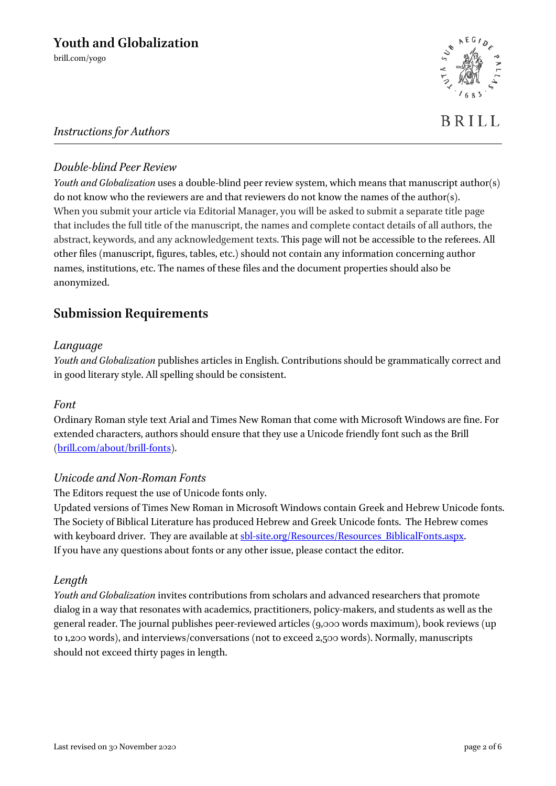brill.com/yogo



## *Instructions for Authors*

### *Double-blind Peer Review*

*Youth and Globalization* uses a double-blind peer review system, which means that manuscript author(s) do not know who the reviewers are and that reviewers do not know the names of the author(s). When you submit your article via Editorial Manager, you will be asked to submit a separate title page that includes the full title of the manuscript, the names and complete contact details of all authors, the abstract, keywords, and any acknowledgement texts. This page will not be accessible to the referees. All other files (manuscript, figures, tables, etc.) should not contain any information concerning author names, institutions, etc. The names of these files and the document properties should also be anonymized.

# **Submission Requirements**

### *Language*

*Youth and Globalization* publishes articles in English. Contributions should be grammatically correct and in good literary style. All spelling should be consistent.

### *Font*

Ordinary Roman style text Arial and Times New Roman that come with Microsoft Windows are fine. For extended characters, authors should ensure that they use a Unicode friendly font such as the Brill [\(brill.com/about/brill-fonts\)](http://www.brill.com/about/brill-fonts).

### *Unicode and Non-Roman Fonts*

The Editors request the use of Unicode fonts only.

Updated versions of Times New Roman in Microsoft Windows contain Greek and Hebrew Unicode fonts. The Society of Biblical Literature has produced Hebrew and Greek Unicode fonts. The Hebrew comes with keyboard driver. They are available at [sbl-site.org/Resources/Resources\\_BiblicalFonts.aspx.](http://www.sbl-site.org/Resources/Resources_BiblicalFonts.aspx) If you have any questions about fonts or any other issue, please contact the editor.

### *Length*

*Youth and Globalization* invites contributions from scholars and advanced researchers that promote dialog in a way that resonates with academics, practitioners, policy-makers, and students as well as the general reader. The journal publishes peer-reviewed articles (9,000 words maximum), book reviews (up to 1,200 words), and interviews/conversations (not to exceed 2,500 words). Normally, manuscripts should not exceed thirty pages in length.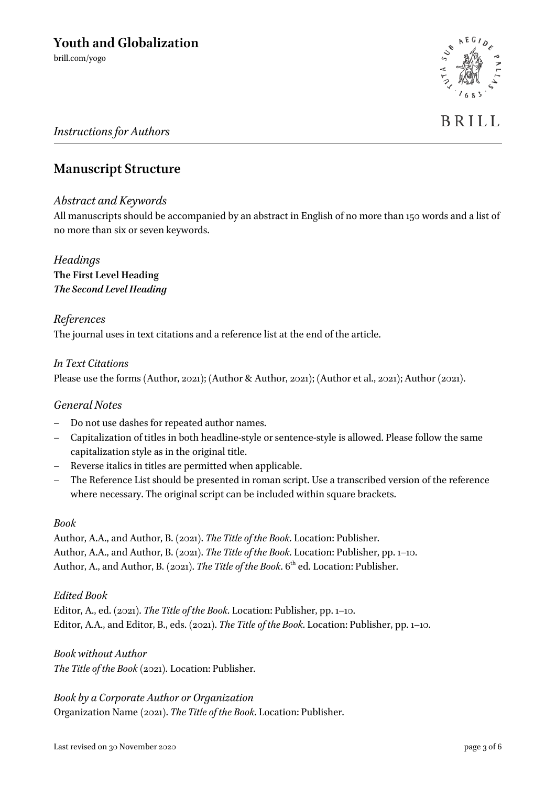**BRILL** 

### *Instructions for Authors*

## **Manuscript Structure**

### *Abstract and Keywords*

All manuscripts should be accompanied by an abstract in English of no more than 150 words and a list of no more than six or seven keywords.

*Headings* **The First Level Heading** *The Second Level Heading*

### *References*

The journal uses in text citations and a reference list at the end of the article.

### *In Text Citations*

Please use the forms (Author, 2021); (Author & Author, 2021); (Author et al., 2021); Author (2021).

### *General Notes*

- Do not use dashes for repeated author names.
- Capitalization of titles in both headline-style or sentence-style is allowed. Please follow the same capitalization style as in the original title.
- Reverse italics in titles are permitted when applicable.
- The Reference List should be presented in roman script. Use a transcribed version of the reference where necessary. The original script can be included within square brackets.

### *Book*

Author, A.A., and Author, B. (2021). *The Title of the Book*. Location: Publisher. Author, A.A., and Author, B. (2021). *The Title of the Book*. Location: Publisher, pp. 1–10. Author, A., and Author, B. (2021). *The Title of the Book*. 6<sup>th</sup> ed. Location: Publisher.

### *Edited Book*

Editor, A., ed. (2021). *The Title of the Book*. Location: Publisher, pp. 1–10. Editor, A.A., and Editor, B., eds. (2021). *The Title of the Book*. Location: Publisher, pp. 1–10.

### *Book without Author*

*The Title of the Book* (2021). Location: Publisher.

*Book by a Corporate Author or Organization* Organization Name (2021). *The Title of the Book*. Location: Publisher.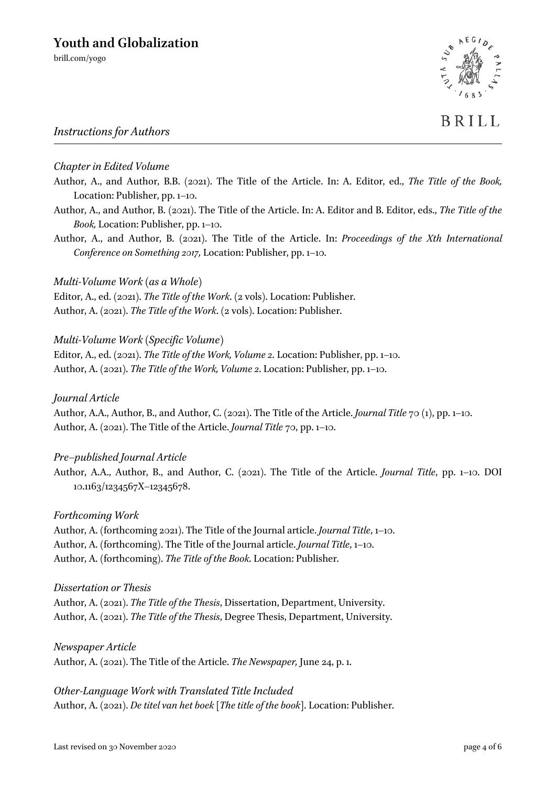brill.com/yogo

## *Instructions for Authors*

### *Chapter in Edited Volume*

- Author, A., and Author, B.B. (2021). The Title of the Article. In: A. Editor, ed., *The Title of the Book,*  Location: Publisher, pp. 1–10.
- Author, A., and Author, B. (2021). The Title of the Article. In: A. Editor and B. Editor, eds., *The Title of the Book,* Location: Publisher, pp. 1–10.
- Author, A., and Author, B. (2021). The Title of the Article. In: *Proceedings of the Xth International Conference on Something 2017,* Location: Publisher, pp. 1–10.

### *Multi-Volume Work (as a Whole)*

Editor, A., ed. (2021). *The Title of the Work*. (2 vols). Location: Publisher. Author, A. (2021). *The Title of the Work*. (2 vols). Location: Publisher.

### *Multi-Volume Work (Specific Volume)*

Editor, A., ed. (2021). *The Title of the Work, Volume 2*. Location: Publisher, pp. 1–10. Author, A. (2021). *The Title of the Work, Volume 2*. Location: Publisher, pp. 1–10.

### *Journal Article*

Author, A.A., Author, B., and Author, C. (2021). The Title of the Article. *Journal Title* 70 (1), pp. 1–10. Author, A. (2021). The Title of the Article. *Journal Title* 70, pp. 1–10.

### *Pre–published Journal Article*

Author, A.A., Author, B., and Author, C. (2021). The Title of the Article. *Journal Title*, pp. 1–10. DOI 10.1163/1234567X–12345678.

### *Forthcoming Work*

Author, A. (forthcoming 2021). The Title of the Journal article. *Journal Title*, 1–10. Author, A. (forthcoming). The Title of the Journal article. *Journal Title*, 1–10. Author, A. (forthcoming). *The Title of the Book*. Location: Publisher.

### *Dissertation or Thesis*

Author, A. (2021). *The Title of the Thesis*, Dissertation, Department, University. Author, A. (2021). *The Title of the Thesis*, Degree Thesis, Department, University.

*Newspaper Article*

Author, A. (2021). The Title of the Article. *The Newspaper,* June 24, p. 1.

*Other-Language Work with Translated Title Included* Author, A. (2021). *De titel van het boek* [*The title of the book*]. Location: Publisher.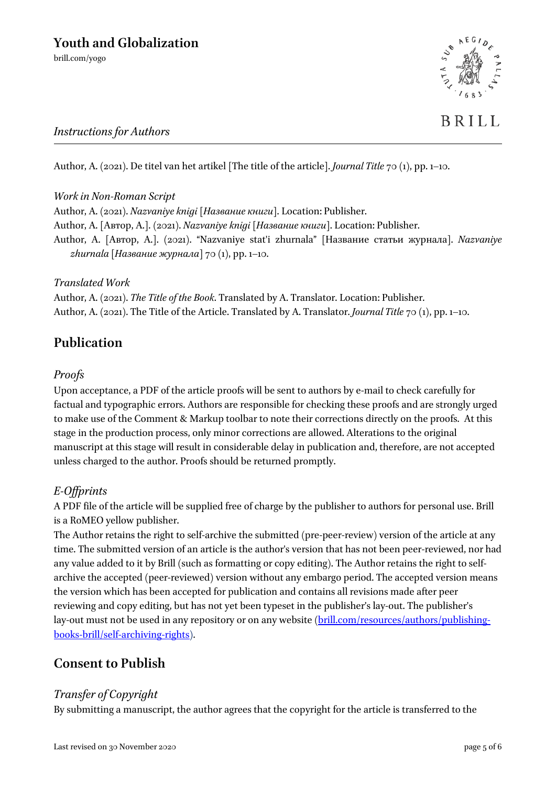*Instructions for Authors* 



Author, A. (2021). De titel van het artikel [The title of the article]. *Journal Title* 70 (1), pp. 1–10.

## *Work in Non-Roman Script*

Author, A. (2021). *Nazvaniye knigi* [*Название книги*]. Location: Publisher. Author, A. [Автор, А.]. (2021). *Nazvaniye knigi* [*Название книги*]. Location: Publisher. Author, A. [Автор, А.]. (2021). "Nazvaniye stat'i zhurnala" [Название статьи журнала]. *Nazvaniye zhurnala* [*Название журнала*] 70 (1), pp. 1–10.

### *Translated Work*

Author, A. (2021). *The Title of the Book*. Translated by A. Translator. Location: Publisher. Author, A. (2021). The Title of the Article. Translated by A. Translator. *Journal Title* 70 (1), pp. 1–10.

# **Publication**

## *Proofs*

Upon acceptance, a PDF of the article proofs will be sent to authors by e-mail to check carefully for factual and typographic errors. Authors are responsible for checking these proofs and are strongly urged to make use of the Comment & Markup toolbar to note their corrections directly on the proofs. At this stage in the production process, only minor corrections are allowed. Alterations to the original manuscript at this stage will result in considerable delay in publication and, therefore, are not accepted unless charged to the author. Proofs should be returned promptly.

# *E-Offprints*

A PDF file of the article will be supplied free of charge by the publisher to authors for personal use. Brill is a RoMEO yellow publisher.

The Author retains the right to self-archive the submitted (pre-peer-review) version of the article at any time. The submitted version of an article is the author's version that has not been peer-reviewed, nor had any value added to it by Brill (such as formatting or copy editing). The Author retains the right to selfarchive the accepted (peer-reviewed) version without any embargo period. The accepted version means the version which has been accepted for publication and contains all revisions made after peer reviewing and copy editing, but has not yet been typeset in the publisher's lay-out. The publisher's lay-out must not be used in any repository or on any website [\(brill.com/resources/authors/publishing](http://www.brill.com/resources/authors/publishing-books-brill/self-archiving-rights)[books-brill/self-archiving-rights\)](http://www.brill.com/resources/authors/publishing-books-brill/self-archiving-rights).

# **Consent to Publish**

## *Transfer of Copyright*

By submitting a manuscript, the author agrees that the copyright for the article is transferred to the